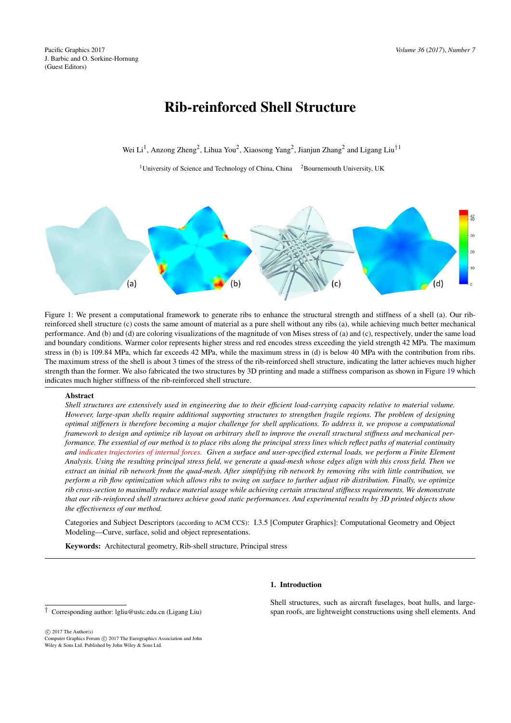# Rib-reinforced Shell Structure

Wei Li<sup>1</sup>, Anzong Zheng<sup>2</sup>, Lihua You<sup>2</sup>, Xiaosong Yang<sup>2</sup>, Jianjun Zhang<sup>2</sup> and Ligang Liu<sup>† 1</sup>

<sup>1</sup>University of Science and Technology of China, China  $\frac{2}{3}$ Bournemouth University, UK



<span id="page-0-0"></span>Figure 1: We present a computational framework to generate ribs to enhance the structural strength and stiffness of a shell (a). Our ribreinforced shell structure (c) costs the same amount of material as a pure shell without any ribs (a), while achieving much better mechanical performance. And (b) and (d) are coloring visualizations of the magnitude of von Mises stress of (a) and (c), respectively, under the same load and boundary conditions. Warmer color represents higher stress and red encodes stress exceeding the yield strength 42 MPa. The maximum stress in (b) is 109.84 MPa, which far exceeds 42 MPa, while the maximum stress in (d) is below 40 MPa with the contribution from ribs. The maximum stress of the shell is about 3 times of the stress of the rib-reinforced shell structure, indicating the latter achieves much higher strength than the former. We also fabricated the two structures by 3D printing and made a stiffness comparison as shown in Figure [19](#page-11-0) which indicates much higher stiffness of the rib-reinforced shell structure.

## **Abstract**

*Shell structures are extensively used in engineering due to their efficient load-carrying capacity relative to material volume. However, large-span shells require additional supporting structures to strengthen fragile regions. The problem of designing optimal stiffeners is therefore becoming a major challenge for shell applications. To address it, we propose a computational framework to design and optimize rib layout on arbitrary shell to improve the overall structural stiffness and mechanical performance. The essential of our method is to place ribs along the principal stress lines which reflect paths of material continuity and indicates trajectories of internal forces. Given a surface and user-specified external loads, we perform a Finite Element Analysis. Using the resulting principal stress field, we generate a quad-mesh whose edges align with this cross field. Then we extract an initial rib network from the quad-mesh. After simplifying rib network by removing ribs with little contribution, we perform a rib flow optimization which allows ribs to swing on surface to further adjust rib distribution. Finally, we optimize rib cross-section to maximally reduce material usage while achieving certain structural stiffness requirements. We demonstrate that our rib-reinforced shell structures achieve good static performances. And experimental results by 3D printed objects show the effectiveness of our method.*

Categories and Subject Descriptors (according to ACM CCS): I.3.5 [Computer Graphics]: Computational Geometry and Object Modeling—Curve, surface, solid and object representations.

Keywords: Architectural geometry, Rib-shell structure, Principal stress

## 1. Introduction

† Corresponding author: lgliu@ustc.edu.cn (Ligang Liu)

Shell structures, such as aircraft fuselages, boat hulls, and largespan roofs, are lightweight constructions using shell elements. And

 $\circ$  2017 The Author(s) Computer Graphics Forum (C) 2017 The Eurographics Association and John Wiley & Sons Ltd. Published by John Wiley & Sons Ltd.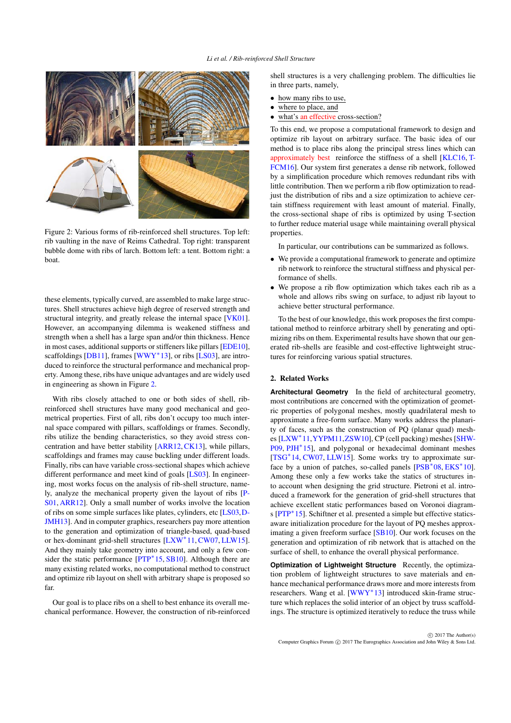#### *Li et al. / Rib-reinforced Shell Structure*

<span id="page-1-1"></span><span id="page-1-0"></span>

Figure 2: Various forms of rib-reinforced shell structures. Top left: rib vaulting in the nave of Reims Cathedral. Top right: transparent bubble dome with ribs of larch. Bottom left: a tent. Bottom right: a boat.

these elements, typically curved, are assembled to make large structures. Shell structures achieve high degree of reserved strength and structural integrity, and greatly release the internal space [\[VK01\]](#page-12-0). However, an accompanying dilemma is weakened stiffness and strength when a shell has a large span and/or thin thickness. Hence in most cases, additional supports or stiffeners like pillars [\[EDE10\]](#page-12-1), scaffoldings [\[DB11\]](#page-11-1), frames [\[WWY](#page-12-2)<sup>\*</sup>13], or ribs [\[LS03\]](#page-12-3), are introduced to reinforce the structural performance and mechanical property. Among these, ribs have unique advantages and are widely used in engineering as shown in Figure [2.](#page-1-0)

With ribs closely attached to one or both sides of shell, ribreinforced shell structures have many good mechanical and geometrical properties. First of all, ribs don't occupy too much internal space compared with pillars, scaffoldings or frames. Secondly, ribs utilize the bending characteristics, so they avoid stress con-centration and have better stability [\[ARR12,](#page-11-2) [CK13\]](#page-11-3), while pillars, scaffoldings and frames may cause buckling under different loads. Finally, ribs can have variable cross-sectional shapes which achieve different performance and meet kind of goals [\[LS03\]](#page-12-3). In engineering, most works focus on the analysis of rib-shell structure, namely, analyze the mechanical property given the layout of ribs [\[P-](#page-12-4)[S01,](#page-12-4) [ARR12\]](#page-11-2). Only a small number of works involve the location of ribs on some simple surfaces like plates, cylinders, etc [\[LS03,](#page-12-3)[D-](#page-11-4)[JMH13\]](#page-11-4). And in computer graphics, researchers pay more attention to the generation and optimization of triangle-based, quad-based or hex-dominant grid-shell structures [\[LXW](#page-12-5)<sup>∗</sup> 11, [CW07,](#page-11-5) [LLW15\]](#page-12-6). And they mainly take geometry into account, and only a few con-sider the static performance [\[PTP](#page-12-7)<sup>\*</sup>15, [SB10\]](#page-12-8). Although there are many existing related works, no computational method to construct and optimize rib layout on shell with arbitrary shape is proposed so far.

Our goal is to place ribs on a shell to best enhance its overall mechanical performance. However, the construction of rib-reinforced

shell structures is a very challenging problem. The difficulties lie in three parts, namely,

- how many ribs to use,
- where to place, and
- what's an effective cross-section?

To this end, we propose a computational framework to design and optimize rib layout on arbitrary surface. The basic idea of our method is to place ribs along the principal stress lines which can approximately best reinforce the stiffness of a shell [\[KLC16,](#page-12-9) [T-](#page-12-10)[FCM16\]](#page-12-10). Our system first generates a dense rib network, followed by a simplification procedure which removes redundant ribs with little contribution. Then we perform a rib flow optimization to readjust the distribution of ribs and a size optimization to achieve certain stiffness requirement with least amount of material. Finally, the cross-sectional shape of ribs is optimized by using T-section to further reduce material usage while maintaining overall physical properties.

In particular, our contributions can be summarized as follows.

- We provide a computational framework to generate and optimize rib network to reinforce the structural stiffness and physical performance of shells.
- We propose a rib flow optimization which takes each rib as a whole and allows ribs swing on surface, to adjust rib layout to achieve better structural performance.

To the best of our knowledge, this work proposes the first computational method to reinforce arbitrary shell by generating and optimizing ribs on them. Experimental results have shown that our generated rib-shells are feasible and cost-effective lightweight structures for reinforcing various spatial structures.

## 2. Related Works

**Architectural Geometry** In the field of architectural geometry, most contributions are concerned with the optimization of geometric properties of polygonal meshes, mostly quadrilateral mesh to approximate a free-form surface. Many works address the planarity of faces, such as the construction of PQ (planar quad) mesh-es [\[LXW](#page-12-5)<sup>\*</sup>11, YYPM11, [ZSW10\]](#page-12-12), CP (cell packing) meshes [\[SHW-](#page-12-13)[P09,](#page-12-13) [PJH](#page-12-14)<sup>\*</sup>15], and polygonal or hexadecimal dominant meshes [\[TSG](#page-12-15)<sup>\*</sup>14, [CW07,](#page-11-5) [LLW15\]](#page-12-6). Some works try to approximate sur-face by a union of patches, so-called panels [\[PSB](#page-12-16)<sup>∗</sup>08, [EKS](#page-12-17)<sup>∗</sup>10]. Among these only a few works take the statics of structures into account when designing the grid structure. Pietroni et al. introduced a framework for the generation of grid-shell structures that achieve excellent static performances based on Voronoi diagram-s [\[PTP](#page-12-7)<sup>\*</sup>15]. Schiftner et al. presented a simple but effective staticsaware initialization procedure for the layout of PQ meshes approximating a given freeform surface [\[SB10\]](#page-12-8). Our work focuses on the generation and optimization of rib network that is attached on the surface of shell, to enhance the overall physical performance.

**Optimization of Lightweight Structure** Recently, the optimization problem of lightweight structures to save materials and enhance mechanical performance draws more and more interests from researchers. Wang et al. [\[WWY](#page-12-2)<sup>\*</sup>13] introduced skin-frame structure which replaces the solid interior of an object by truss scaffoldings. The structure is optimized iteratively to reduce the truss while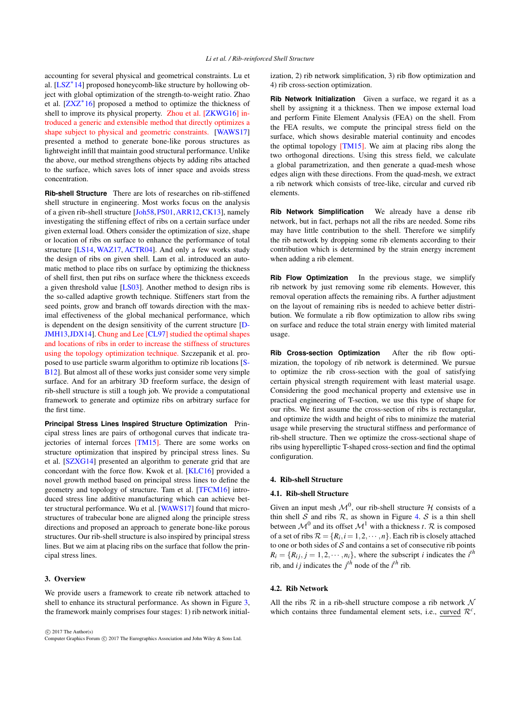<span id="page-2-0"></span>accounting for several physical and geometrical constraints. Lu et al. [\[LSZ](#page-12-18)<sup>\*</sup>14] proposed honeycomb-like structure by hollowing object with global optimization of the strength-to-weight ratio. Zhao et al. [\[ZXZ](#page-12-19)<sup>\*</sup>16] proposed a method to optimize the thickness of shell to improve its physical property. Zhou et al. [\[ZKWG16\]](#page-12-20) introduced a generic and extensible method that directly optimizes a shape subject to physical and geometric constraints. [\[WAWS17\]](#page-12-21) presented a method to generate bone-like porous structures as lightweight infill that maintain good structural performance. Unlike the above, our method strengthens objects by adding ribs attached to the surface, which saves lots of inner space and avoids stress concentration.

**Rib-shell Structure** There are lots of researches on rib-stiffened shell structure in engineering. Most works focus on the analysis of a given rib-shell structure [\[Joh58,](#page-12-22)[PS01,](#page-12-4)[ARR12,](#page-11-2)[CK13\]](#page-11-3), namely investigating the stiffening effect of ribs on a certain surface under given external load. Others consider the optimization of size, shape or location of ribs on surface to enhance the performance of total structure [\[LS14,](#page-12-23) [WAZ17,](#page-12-24) [ACTR04\]](#page-11-6). And only a few works study the design of ribs on given shell. Lam et al. introduced an automatic method to place ribs on surface by optimizing the thickness of shell first, then put ribs on surface where the thickness exceeds a given threshold value [\[LS03\]](#page-12-3). Another method to design ribs is the so-called adaptive growth technique. Stiffeners start from the seed points, grow and branch off towards direction with the maximal effectiveness of the global mechanical performance, which is dependent on the design sensitivity of the current structure [\[D-](#page-11-4)[JMH13,](#page-11-4)[JDX14\]](#page-12-25). Chung and Lee [\[CL97\]](#page-11-7) studied the optimal shapes and locations of ribs in order to increase the stiffness of structures using the topology optimization technique. Szczepanik et al. proposed to use particle swarm algorithm to optimize rib locations [\[S-](#page-12-26)[B12\]](#page-12-26). But almost all of these works just consider some very simple surface. And for an arbitrary 3D freeform surface, the design of rib-shell structure is still a tough job. We provide a computational framework to generate and optimize ribs on arbitrary surface for the first time.

**Principal Stress Lines Inspired Structure Optimization** Principal stress lines are pairs of orthogonal curves that indicate trajectories of internal forces [\[TM15\]](#page-12-27). There are some works on structure optimization that inspired by principal stress lines. Su et al. [\[SZXG14\]](#page-12-28) presented an algorithm to generate grid that are concordant with the force flow. Kwok et al. [\[KLC16\]](#page-12-9) provided a novel growth method based on principal stress lines to define the geometry and topology of structure. Tam et al. [\[TFCM16\]](#page-12-10) introduced stress line additive manufacturing which can achieve better structural performance. Wu et al. [\[WAWS17\]](#page-12-21) found that microstructures of trabecular bone are aligned along the principle stress directions and proposed an approach to generate bone-like porous structures. Our rib-shell structure is also inspired by principal stress lines. But we aim at placing ribs on the surface that follow the principal stress lines.

# 3. Overview

We provide users a framework to create rib network attached to shell to enhance its structural performance. As shown in Figure [3,](#page-3-0) the framework mainly comprises four stages: 1) rib network initial-

 $\circ$  2017 The Author(s) Computer Graphics Forum (C) 2017 The Eurographics Association and John Wiley & Sons Ltd. ization, 2) rib network simplification, 3) rib flow optimization and 4) rib cross-section optimization.

**Rib Network Initialization** Given a surface, we regard it as a shell by assigning it a thickness. Then we impose external load and perform Finite Element Analysis (FEA) on the shell. From the FEA results, we compute the principal stress field on the surface, which shows desirable material continuity and encodes the optimal topology [\[TM15\]](#page-12-27). We aim at placing ribs along the two orthogonal directions. Using this stress field, we calculate a global parametrization, and then generate a quad-mesh whose edges align with these directions. From the quad-mesh, we extract a rib network which consists of tree-like, circular and curved rib elements.

**Rib Network Simplification** We already have a dense rib network, but in fact, perhaps not all the ribs are needed. Some ribs may have little contribution to the shell. Therefore we simplify the rib network by dropping some rib elements according to their contribution which is determined by the strain energy increment when adding a rib element.

**Rib Flow Optimization** In the previous stage, we simplify rib network by just removing some rib elements. However, this removal operation affects the remaining ribs. A further adjustment on the layout of remaining ribs is needed to achieve better distribution. We formulate a rib flow optimization to allow ribs swing on surface and reduce the total strain energy with limited material usage.

**Rib Cross-section Optimization** After the rib flow optimization, the topology of rib network is determined. We pursue to optimize the rib cross-section with the goal of satisfying certain physical strength requirement with least material usage. Considering the good mechanical property and extensive use in practical engineering of T-section, we use this type of shape for our ribs. We first assume the cross-section of ribs is rectangular, and optimize the width and height of ribs to minimize the material usage while preserving the structural stiffness and performance of rib-shell structure. Then we optimize the cross-sectional shape of ribs using hyperelliptic T-shaped cross-section and find the optimal configuration.

# 4. Rib-shell Structure

## 4.1. Rib-shell Structure

Given an input mesh  $\mathcal{M}^0$ , our rib-shell structure  $\mathcal H$  consists of a thin shell  $\overline{S}$  and ribs  $\overline{R}$ , as shown in Figure [4.](#page-3-1)  $\overline{S}$  is a thin shell between  $\mathcal{M}^0$  and its offset  $\mathcal{M}^1$  with a thickness *t*. R is composed of a set of ribs  $\mathcal{R} = \{R_i, i = 1, 2, \cdots, n\}$ . Each rib is closely attached to one or both sides of  $S$  and contains a set of consecutive rib points  $R_i = \{R_{ij}, j = 1, 2, \cdots, n_i\}$ , where the subscript *i* indicates the *i*<sup>th</sup> rib, and *i j* indicates the  $j<sup>th</sup>$  node of the  $i<sup>th</sup>$  rib.

# 4.2. Rib Network

All the ribs  $R$  in a rib-shell structure compose a rib network  $N$ which contains three fundamental element sets, i.e., curved  $\mathcal{R}^c$ ,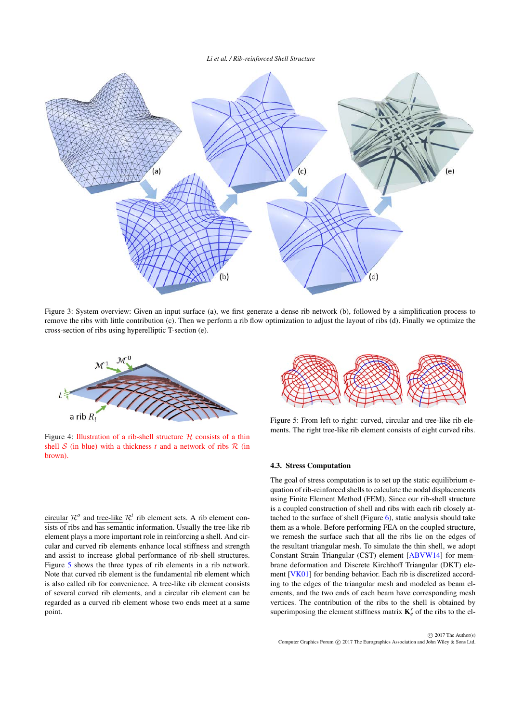*Li et al. / Rib-reinforced Shell Structure*

<span id="page-3-3"></span><span id="page-3-0"></span>

Figure 3: System overview: Given an input surface (a), we first generate a dense rib network (b), followed by a simplification process to remove the ribs with little contribution (c). Then we perform a rib flow optimization to adjust the layout of ribs (d). Finally we optimize the cross-section of ribs using hyperelliptic T-section (e).

<span id="page-3-1"></span>

Figure 4: Illustration of a rib-shell structure  $H$  consists of a thin shell S (in blue) with a thickness  $t$  and a network of ribs  $R$  (in brown).

circular  $\mathcal{R}^o$  and tree-like  $\mathcal{R}^t$  rib element sets. A rib element consists of ribs and has semantic information. Usually the tree-like rib element plays a more important role in reinforcing a shell. And circular and curved rib elements enhance local stiffness and strength and assist to increase global performance of rib-shell structures. Figure [5](#page-3-2) shows the three types of rib elements in a rib network. Note that curved rib element is the fundamental rib element which is also called rib for convenience. A tree-like rib element consists of several curved rib elements, and a circular rib element can be regarded as a curved rib element whose two ends meet at a same point.

<span id="page-3-2"></span>

Figure 5: From left to right: curved, circular and tree-like rib elements. The right tree-like rib element consists of eight curved ribs.

## 4.3. Stress Computation

The goal of stress computation is to set up the static equilibrium equation of rib-reinforced shells to calculate the nodal displacements using Finite Element Method (FEM). Since our rib-shell structure is a coupled construction of shell and ribs with each rib closely attached to the surface of shell (Figure [6\)](#page-4-0), static analysis should take them as a whole. Before performing FEA on the coupled structure, we remesh the surface such that all the ribs lie on the edges of the resultant triangular mesh. To simulate the thin shell, we adopt Constant Strain Triangular (CST) element [\[ABVW14\]](#page-11-8) for membrane deformation and Discrete Kirchhoff Triangular (DKT) element [\[VK01\]](#page-12-0) for bending behavior. Each rib is discretized according to the edges of the triangular mesh and modeled as beam elements, and the two ends of each beam have corresponding mesh vertices. The contribution of the ribs to the shell is obtained by superimposing the element stiffness matrix  $\mathbf{K}_{e}^{r}$  of the ribs to the el-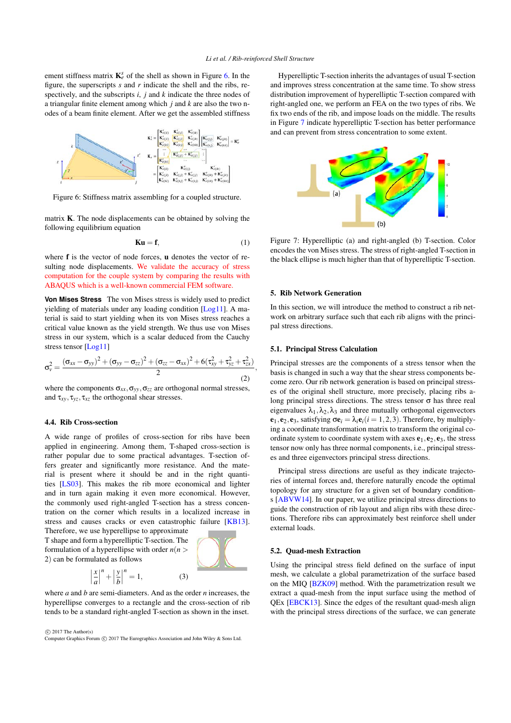,

<span id="page-4-3"></span>ement stiffness matrix  $\mathbf{K}_{e}^{s}$  of the shell as shown in Figure [6.](#page-4-0) In the figure, the superscripts *s* and *r* indicate the shell and the ribs, respectively, and the subscripts *i*, *j* and *k* indicate the three nodes of a triangular finite element among which *j* and *k* are also the two nodes of a beam finite element. After we get the assembled stiffness

<span id="page-4-0"></span>

Figure 6: Stiffness matrix assembling for a coupled structure.

matrix K. The node displacements can be obtained by solving the following equilibrium equation

$$
Ku = f, \tag{1}
$$

where f is the vector of node forces, u denotes the vector of resulting node displacements. We validate the accuracy of stress computation for the couple system by comparing the results with ABAQUS which is a well-known commercial FEM software.

**Von Mises Stress** The von Mises stress is widely used to predict yielding of materials under any loading condition [\[Log11\]](#page-12-29). A material is said to start yielding when its von Mises stress reaches a critical value known as the yield strength. We thus use von Mises stress in our system, which is a scalar deduced from the Cauchy stress tensor [\[Log11\]](#page-12-29)

$$
\sigma_{v}^{2} = \frac{(\sigma_{xx} - \sigma_{yy})^{2} + (\sigma_{yy} - \sigma_{zz})^{2} + (\sigma_{zz} - \sigma_{xx})^{2} + 6(\tau_{xy}^{2} + \tau_{yz}^{2} + \tau_{zx}^{2})}{2}
$$
\n(2)

where the components  $\sigma_{xx}, \sigma_{yy}, \sigma_{zz}$  are orthogonal normal stresses, and  $\tau_{xy}, \tau_{yz}, \tau_{xz}$  the orthogonal shear stresses.

# 4.4. Rib Cross-section

A wide range of profiles of cross-section for ribs have been applied in engineering. Among them, T-shaped cross-section is rather popular due to some practical advantages. T-section offers greater and significantly more resistance. And the material is present where it should be and in the right quantities [\[LS03\]](#page-12-3). This makes the rib more economical and lighter and in turn again making it even more economical. However, the commonly used right-angled T-section has a stress concentration on the corner which results in a localized increase in stress and causes cracks or even catastrophic failure [\[KB13\]](#page-12-30).

Therefore, we use hyperellipse to approximate T shape and form a hyperelliptic T-section. The formulation of a hyperellipse with order  $n(n)$ 2) can be formulated as follows

> $\begin{array}{|c|c|} \hline \multicolumn{1}{|c|}{0.0018cm} \multicolumn{1}{|c|}{0.0018cm} \multicolumn{1}{|c|}{0.0018cm} \multicolumn{1}{|c|}{0.0018cm} \multicolumn{1}{|c|}{0.0018cm} \multicolumn{1}{|c|}{0.0018cm} \multicolumn{1}{|c|}{0.0018cm} \multicolumn{1}{|c|}{0.0018cm} \multicolumn{1}{|c|}{0.0018cm} \multicolumn{1}{|c|}{0.0018cm} \multicolumn{1}{|c|}{0.001$ *x a*  $\begin{array}{c} \begin{array}{c} \begin{array}{c} \end{array} \\ \begin{array}{c} \end{array} \end{array} \end{array}$  $\left| \begin{array}{c} n \\ + \end{array} \right|$ *y b*  $\begin{array}{c} \begin{array}{c} \begin{array}{c} \end{array} \\ \begin{array}{c} \end{array} \end{array} \end{array}$



where *a* and *b* are semi-diameters. And as the order *n* increases, the hyperellipse converges to a rectangle and the cross-section of rib tends to be a standard right-angled T-section as shown in the inset.

<span id="page-4-2"></span> $n^{n} = 1,$  (3)

 $\circ$  2017 The Author(s) Computer Graphics Forum (C) 2017 The Eurographics Association and John Wiley & Sons Ltd.

Hyperelliptic T-section inherits the advantages of usual T-section and improves stress concentration at the same time. To show stress distribution improvement of hyperelliptic T-section compared with right-angled one, we perform an FEA on the two types of ribs. We fix two ends of the rib, and impose loads on the middle. The results in Figure [7](#page-4-1) indicate hyperelliptic T-section has better performance and can prevent from stress concentration to some extent.

<span id="page-4-1"></span>

Figure 7: Hyperelliptic (a) and right-angled (b) T-section. Color encodes the von Mises stress. The stress of right-angled T-section in the black ellipse is much higher than that of hyperelliptic T-section.

## 5. Rib Network Generation

In this section, we will introduce the method to construct a rib network on arbitrary surface such that each rib aligns with the principal stress directions.

#### 5.1. Principal Stress Calculation

Principal stresses are the components of a stress tensor when the basis is changed in such a way that the shear stress components become zero. Our rib network generation is based on principal stresses of the original shell structure, more precisely, placing ribs along principal stress directions. The stress tensor  $\sigma$  has three real eigenvalues  $\lambda_1, \lambda_2, \lambda_3$  and three mutually orthogonal eigenvectors  $e_1$ ,  $e_2$ ,  $e_3$ , satisfying  $\sigma e_i = \lambda_i e_i (i = 1, 2, 3)$ . Therefore, by multiplying a coordinate transformation matrix to transform the original coordinate system to coordinate system with axes  $e_1, e_2, e_3$ , the stress tensor now only has three normal components, i.e., principal stresses and three eigenvectors principal stress directions.

Principal stress directions are useful as they indicate trajectories of internal forces and, therefore naturally encode the optimal topology for any structure for a given set of boundary conditions [\[ABVW14\]](#page-11-8). In our paper, we utilize principal stress directions to guide the construction of rib layout and align ribs with these directions. Therefore ribs can approximately best reinforce shell under external loads.

#### 5.2. Quad-mesh Extraction

Using the principal stress field defined on the surface of input mesh, we calculate a global parametrization of the surface based on the MIQ [\[BZK09\]](#page-11-9) method. With the parametrization result we extract a quad-mesh from the input surface using the method of QEx [\[EBCK13\]](#page-12-31). Since the edges of the resultant quad-mesh align with the principal stress directions of the surface, we can generate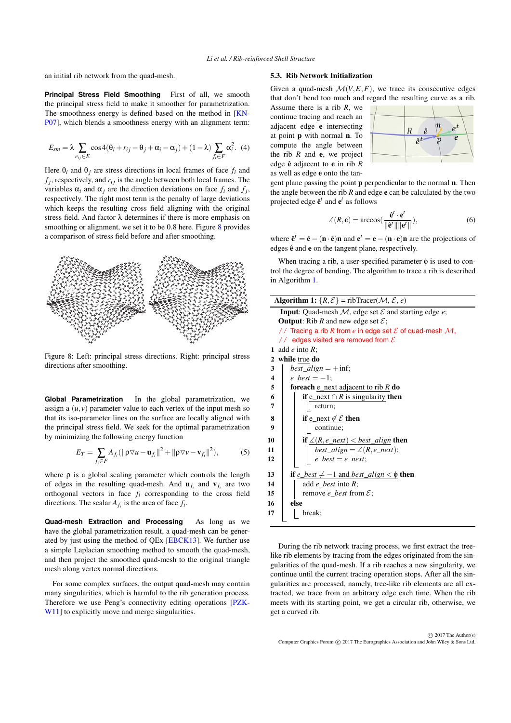<span id="page-5-2"></span>an initial rib network from the quad-mesh.

# **Principal Stress Field Smoothing** First of all, we smooth the principal stress field to make it smoother for parametrization. The smoothness energy is defined based on the method in [\[KN-](#page-12-32)

$$
E_{sm} = \lambda \sum_{e_{ij} \in E} \cos 4(\theta_i + r_{ij} - \theta_j + \alpha_i - \alpha_j) + (1 - \lambda) \sum_{f_i \in F} \alpha_i^2.
$$
 (4)

[P07\]](#page-12-32), which blends a smoothness energy with an alignment term:

Here  $\theta_i$  and  $\theta_j$  are stress directions in local frames of face  $f_i$  and  $f_j$ , respectively, and  $r_{ij}$  is the angle between both local frames. The variables  $\alpha_i$  and  $\alpha_j$  are the direction deviations on face  $f_i$  and  $f_j$ , respectively. The right most term is the penalty of large deviations which keeps the resulting cross field aligning with the original stress field. And factor  $\lambda$  determines if there is more emphasis on smoothing or alignment, we set it to be 0.[8](#page-5-0) here. Figure 8 provides a comparison of stress field before and after smoothing.

<span id="page-5-0"></span>

Figure 8: Left: principal stress directions. Right: principal stress directions after smoothing.

**Global Parametrization** In the global parametrization, we assign a  $(u, v)$  parameter value to each vertex of the input mesh so that its iso-parameter lines on the surface are locally aligned with the principal stress field. We seek for the optimal parametrization by minimizing the following energy function

$$
E_T = \sum_{f_i \in F} A_{f_i} (\|\rho \nabla u - \mathbf{u}_{f_i}\|^2 + \|\rho \nabla v - \mathbf{v}_{f_i}\|^2),
$$
 (5)

where  $\rho$  is a global scaling parameter which controls the length of edges in the resulting quad-mesh. And  $\mathbf{u}_{f_i}$  and  $\mathbf{v}_{f_i}$  are two orthogonal vectors in face  $f_i$  corresponding to the cross field directions. The scalar  $A_{f_i}$  is the area of face  $f_i$ .

**Quad-mesh Extraction and Processing** As long as we have the global parametrization result, a quad-mesh can be generated by just using the method of QEx [\[EBCK13\]](#page-12-31). We further use a simple Laplacian smoothing method to smooth the quad-mesh, and then project the smoothed quad-mesh to the original triangle mesh along vertex normal directions.

For some complex surfaces, the output quad-mesh may contain many singularities, which is harmful to the rib generation process. Therefore we use Peng's connectivity editing operations [\[PZK-](#page-12-33)W<sub>11</sub>] to explicitly move and merge singularities.

## 5.3. Rib Network Initialization

Given a quad-mesh  $\mathcal{M}(V, E, F)$ , we trace its consecutive edges that don't bend too much and regard the resulting curve as a rib.

Assume there is a rib *R*, we continue tracing and reach an adjacent edge e intersecting at point p with normal n. To compute the angle between the rib  $R$  and  $e$ , we project edge  $\hat{e}$  adjacent to  $e$  in rib *R* as well as edge e onto the tan-



gent plane passing the point p perpendicular to the normal n. Then the angle between the rib  $R$  and edge  $e$  can be calculated by the two projected edge  $\hat{\mathbf{e}}^t$  and  $\mathbf{e}^t$  as follows

$$
\measuredangle(R, \mathbf{e}) = \arccos\left(\frac{\hat{\mathbf{e}}^t \cdot \mathbf{e}^t}{\|\hat{\mathbf{e}}^t\| \|\mathbf{e}^t\|}\right),\tag{6}
$$

where  $\hat{\mathbf{e}}^t = \hat{\mathbf{e}} - (\mathbf{n} \cdot \hat{\mathbf{e}}) \mathbf{n}$  and  $\mathbf{e}^t = \mathbf{e} - (\mathbf{n} \cdot \mathbf{e}) \mathbf{n}$  are the projections of edges  $\hat{\mathbf{e}}$  and  $\mathbf{e}$  on the tangent plane, respectively.

When tracing a rib, a user-specified parameter  $\phi$  is used to control the degree of bending. The algorithm to trace a rib is described in Algorithm [1.](#page-5-1)

<span id="page-5-1"></span>

| <b>Algorithm 1:</b> $\{R, \mathcal{E}\}$ = ribTracer( <i>M</i> , $\mathcal{E}, e$ ) |                                                                                 |  |  |  |  |  |
|-------------------------------------------------------------------------------------|---------------------------------------------------------------------------------|--|--|--|--|--|
| <b>Input:</b> Quad-mesh $M$ , edge set $\mathcal E$ and starting edge $e$ ;         |                                                                                 |  |  |  |  |  |
| <b>Output:</b> Rib R and new edge set $\mathcal{E}$ ;                               |                                                                                 |  |  |  |  |  |
|                                                                                     | // Tracing a rib R from e in edge set $\mathcal E$ of quad-mesh $\mathcal M$ ,  |  |  |  |  |  |
|                                                                                     | // edges visited are removed from $\mathcal E$                                  |  |  |  |  |  |
|                                                                                     | 1 add $e$ into $R$ ;                                                            |  |  |  |  |  |
| 2                                                                                   | while true do                                                                   |  |  |  |  |  |
| 3                                                                                   | <i>best_align</i> = $+$ inf;                                                    |  |  |  |  |  |
| 4                                                                                   | $e$ best = -1;                                                                  |  |  |  |  |  |
| 5                                                                                   | <b>foreach</b> e_next adjacent to rib $R$ <b>do</b>                             |  |  |  |  |  |
| 6                                                                                   | <b>if</b> e_next $\cap$ R is singularity <b>then</b>                            |  |  |  |  |  |
| 7                                                                                   | return;                                                                         |  |  |  |  |  |
| 8                                                                                   | <b>if</b> e_next $\notin \mathcal{E}$ then                                      |  |  |  |  |  |
| 9                                                                                   | continue;                                                                       |  |  |  |  |  |
| 10                                                                                  | if $\angle(R, e\_next) < best\_align$ then                                      |  |  |  |  |  |
| 11                                                                                  |                                                                                 |  |  |  |  |  |
| 12                                                                                  | best_align = $\angle$ (R, e_next);<br>e_best = e_next;                          |  |  |  |  |  |
|                                                                                     |                                                                                 |  |  |  |  |  |
| 13                                                                                  | <b>if</b> $e_{\text{best}} \neq -1$ and <i>best</i> _align < $\phi$ <b>then</b> |  |  |  |  |  |
| 14                                                                                  | add $e_{\text{}}$ <i>best</i> into $R$ ;                                        |  |  |  |  |  |
| 15                                                                                  | remove $e_{\text{best}}$ from $\mathcal{E}$ ;                                   |  |  |  |  |  |
| 16                                                                                  | else                                                                            |  |  |  |  |  |
| 17                                                                                  | break;                                                                          |  |  |  |  |  |
|                                                                                     |                                                                                 |  |  |  |  |  |

During the rib network tracing process, we first extract the treelike rib elements by tracing from the edges originated from the singularities of the quad-mesh. If a rib reaches a new singularity, we continue until the current tracing operation stops. After all the singularities are processed, namely, tree-like rib elements are all extracted, we trace from an arbitrary edge each time. When the rib meets with its starting point, we get a circular rib, otherwise, we get a curved rib.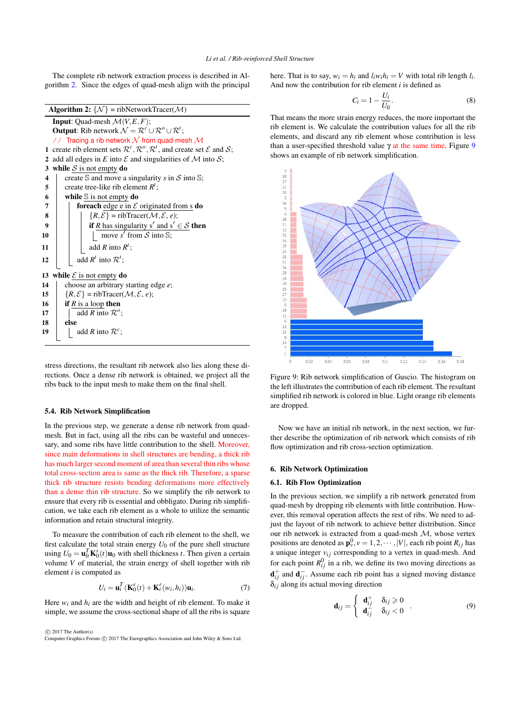The complete rib network extraction process is described in Algorithm [2.](#page-6-0) Since the edges of quad-mesh align with the principal

<span id="page-6-0"></span>Algorithm 2:  $\{N\}$  = ribNetworkTracer(M) **Input:** Quad-mesh  $\mathcal{M}(V, E, F)$ ; **Output:** Rib network  $\mathcal{N} = \mathcal{R}^c \cup \mathcal{R}^o \cup \mathcal{R}^t$ ; // Tracing a rib network  $\mathcal N$  from quad-mesh  $\mathcal M$ 1 create rib element sets  $\mathcal{R}^c, \mathcal{R}^o, \mathcal{R}^t$ , and create set  $\mathcal E$  and  $\mathcal S$ ; 2 add all edges in  $E$  into  $\mathcal E$  and singularities of  $\mathcal M$  into  $\mathcal S$ ; 3 while  $S$  is not empty do 4 create  $\mathbb S$  and move a singularity *s* in *S* into  $\mathbb S$ ;  $\begin{array}{c|c} 5 & \text{create tree-like rib element } R^t; \end{array}$ 6 while  $\mathbb S$  is not empty do 7 | foreach edge e in  $\mathcal E$  originated from s do 8  $|$   $|$   $\{R, \mathcal{E}\}$  = ribTracer( $\mathcal{M}, \mathcal{E}, e$ ); 9 **i** if *R* has singularity s' and s'  $\in$  *S* then 10  $\boxed{\qquad}$   $\boxed{\qquad \text{move } s' \text{ from } S \text{ into } S;}$ 11 dd *R* into  $R^t$ ; 12  $\parallel$  add  $R^t$  into  $\mathcal{R}^t$ ; 13 while  $E$  is not empty do 14 choose an arbitrary starting edge *e*; 15  $\{R, \mathcal{E}\}$  = ribTracer( $\mathcal{M}, \mathcal{E}, e$ ); 16 **if**  $R$  is a loop then 17  $\left| \right|$  add *R* into  $\mathcal{R}^o$ ; 18 else 19  $\parallel$  add *R* into  $\mathcal{R}^c$ ;

stress directions, the resultant rib network also lies along these directions. Once a dense rib network is obtained, we project all the ribs back to the input mesh to make them on the final shell.

#### 5.4. Rib Network Simplification

In the previous step, we generate a dense rib network from quadmesh. But in fact, using all the ribs can be wasteful and unnecessary, and some ribs have little contribution to the shell. Moreover, since main deformations in shell structures are bending, a thick rib has much larger second moment of area than several thin ribs whose total cross-section area is same as the thick rib. Therefore, a sparse thick rib structure resists bending deformations more effectively than a dense thin rib structure. So we simplify the rib network to ensure that every rib is essential and obbligato. During rib simplification, we take each rib element as a whole to utilize the semantic information and retain structural integrity.

To measure the contribution of each rib element to the shell, we first calculate the total strain energy  $U_0$  of the pure shell structure using  $U_0 = \mathbf{u}_0^T \mathbf{K}_0^s(t) \mathbf{u}_0$  with shell thickness *t*. Then given a certain volume *V* of material, the strain energy of shell together with rib element *i* is computed as

$$
U_i = \mathbf{u}_i^T (\mathbf{K}_0^s(t) + \mathbf{K}_i^r(w_i, h_i)) \mathbf{u}_i.
$$
 (7)

Here  $w_i$  and  $h_i$  are the width and height of rib element. To make it simple, we assume the cross-sectional shape of all the ribs is square

 $\circ$  2017 The Author(s) Computer Graphics Forum (C) 2017 The Eurographics Association and John Wiley & Sons Ltd.

here. That is to say,  $w_i = h_i$  and  $l_i w_i h_i = V$  with total rib length  $l_i$ . And now the contribution for rib element *i* is defined as

$$
C_i = 1 - \frac{U_i}{U_0}.\tag{8}
$$

That means the more strain energy reduces, the more important the rib element is. We calculate the contribution values for all the rib elements, and discard any rib element whose contribution is less than a user-specified threshold value  $γ$  at the same time. Figure [9](#page-6-1) shows an example of rib network simplification.

<span id="page-6-1"></span>

Figure 9: Rib network simplification of Guscio. The histogram on the left illustrates the contribution of each rib element. The resultant simplified rib network is colored in blue. Light orange rib elements are dropped.

Now we have an initial rib network, in the next section, we further describe the optimization of rib network which consists of rib flow optimization and rib cross-section optimization.

## 6. Rib Network Optimization

## 6.1. Rib Flow Optimization

In the previous section, we simplify a rib network generated from quad-mesh by dropping rib elements with little contribution. However, this removal operation affects the rest of ribs. We need to adjust the layout of rib network to achieve better distribution. Since our rib network is extracted from a quad-mesh  $M$ , whose vertex positions are denoted as  $\mathbf{p}_v^0$ ,  $v = 1, 2, \dots, |V|$ , each rib point  $R_{ij}$  has a unique integer  $v_{ij}$  corresponding to a vertex in quad-mesh. And for each point  $R_{ij}^0$  in a rib, we define its two moving directions as  $\mathbf{d}_{ij}^+$  and  $\mathbf{d}_{ij}^-$ . Assume each rib point has a signed moving distance  $\delta_{ij}$  along its actual moving direction

$$
\mathbf{d}_{ij} = \begin{cases} \mathbf{d}_{ij}^+ & \delta_{ij} \ge 0 \\ \mathbf{d}_{ij}^- & \delta_{ij} < 0 \end{cases} . \tag{9}
$$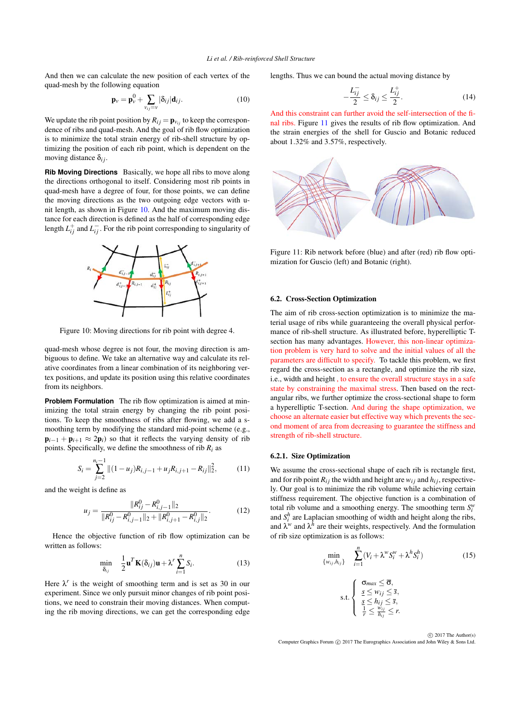And then we can calculate the new position of each vertex of the quad-mesh by the following equation

$$
\mathbf{p}_{\nu} = \mathbf{p}_{\nu}^{0} + \sum_{\nu_{ij} = \nu} |\delta_{ij}| \mathbf{d}_{ij}.
$$
 (10)

We update the rib point position by  $R_{ij} = \mathbf{p}_{v_{ij}}$  to keep the correspondence of ribs and quad-mesh. And the goal of rib flow optimization is to minimize the total strain energy of rib-shell structure by optimizing the position of each rib point, which is dependent on the moving distance  $\delta_{ij}$ .

**Rib Moving Directions** Basically, we hope all ribs to move along the directions orthogonal to itself. Considering most rib points in quad-mesh have a degree of four, for those points, we can define the moving directions as the two outgoing edge vectors with unit length, as shown in Figure [10.](#page-7-0) And the maximum moving distance for each direction is defined as the half of corresponding edge length  $L_{ij}^+$  and  $L_{ij}^-$ . For the rib point corresponding to singularity of

<span id="page-7-0"></span>

Figure 10: Moving directions for rib point with degree 4.

quad-mesh whose degree is not four, the moving direction is ambiguous to define. We take an alternative way and calculate its relative coordinates from a linear combination of its neighboring vertex positions, and update its position using this relative coordinates from its neighbors.

**Problem Formulation** The rib flow optimization is aimed at minimizing the total strain energy by changing the rib point positions. To keep the smoothness of ribs after flowing, we add a smoothing term by modifying the standard mid-point scheme (e.g.,  $\mathbf{p}_{i-1} + \mathbf{p}_{i+1} \approx 2\mathbf{p}_i$  so that it reflects the varying density of rib points. Specifically, we define the smoothness of rib  $R_i$  as

$$
S_i = \sum_{j=2}^{n_i-1} \|(1-u_j)R_{i,j-1} + u_j R_{i,j+1} - R_{ij}\|_2^2, \tag{11}
$$

and the weight is define as

$$
u_j = \frac{||R_{ij}^0 - R_{i,j-1}^0||_2}{||R_{ij}^0 - R_{i,j-1}^0||_2 + ||R_{i,j+1}^0 - R_{i,j}^0||_2}.
$$
 (12)

Hence the objective function of rib flow optimization can be written as follows:

<span id="page-7-2"></span>
$$
\min_{\delta_{ij}} \quad \frac{1}{2} \mathbf{u}^T \mathbf{K}(\delta_{ij}) \mathbf{u} + \lambda^r \sum_{i=1}^n S_i.
$$
 (13)

Here  $\lambda^r$  is the weight of smoothing term and is set as 30 in our experiment. Since we only pursuit minor changes of rib point positions, we need to constrain their moving distances. When computing the rib moving directions, we can get the corresponding edge lengths. Thus we can bound the actual moving distance by

$$
-\frac{L_{ij}^-}{2} \le \delta_{ij} \le \frac{L_{ij}^+}{2}.\tag{14}
$$

And this constraint can further avoid the self-intersection of the final ribs. Figure [11](#page-7-1) gives the results of rib flow optimization. And the strain energies of the shell for Guscio and Botanic reduced about 1.32% and 3.57%, respectively.

<span id="page-7-1"></span>

Figure 11: Rib network before (blue) and after (red) rib flow optimization for Guscio (left) and Botanic (right).

## 6.2. Cross-Section Optimization

The aim of rib cross-section optimization is to minimize the material usage of ribs while guaranteeing the overall physical performance of rib-shell structure. As illustrated before, hyperelliptic Tsection has many advantages. However, this non-linear optimization problem is very hard to solve and the initial values of all the parameters are difficult to specify. To tackle this problem, we first regard the cross-section as a rectangle, and optimize the rib size, i.e., width and height , to ensure the overall structure stays in a safe state by constraining the maximal stress. Then based on the rectangular ribs, we further optimize the cross-sectional shape to form a hyperelliptic T-section. And during the shape optimization, we choose an alternate easier but effective way which prevents the second moment of area from decreasing to guarantee the stiffness and strength of rib-shell structure.

## 6.2.1. Size Optimization

We assume the cross-sectional shape of each rib is rectangle first, and for rib point  $R_{ij}$  the width and height are  $w_{ij}$  and  $h_{ij}$ , respectively. Our goal is to minimize the rib volume while achieving certain stiffness requirement. The objective function is a combination of total rib volume and a smoothing energy. The smoothing term  $S_i^w$ and  $S_i^h$  are Laplacian smoothing of width and height along the ribs, and  $\lambda^w$  and  $\lambda^h$  are their weights, respectively. And the formulation of rib size optimization is as follows:

<span id="page-7-3"></span>
$$
\min_{\{w_{ij}, h_{ij}\}} \quad \sum_{i=1}^{n} (V_i + \lambda^w S_i^w + \lambda^h S_i^h)
$$
\n
$$
\text{s.t.} \begin{cases}\n\sigma_{\text{max}} \le \overline{\sigma}, \\
\frac{s}{\le w_{ij} \le \overline{s},} \\
\frac{s}{r} \le \frac{h_{ij}}{h_{ij}} \le r.\n\end{cases}
$$
\n
$$
(15)
$$

 $\odot$  2017 The Author(s) Computer Graphics Forum (C) 2017 The Eurographics Association and John Wiley & Sons Ltd.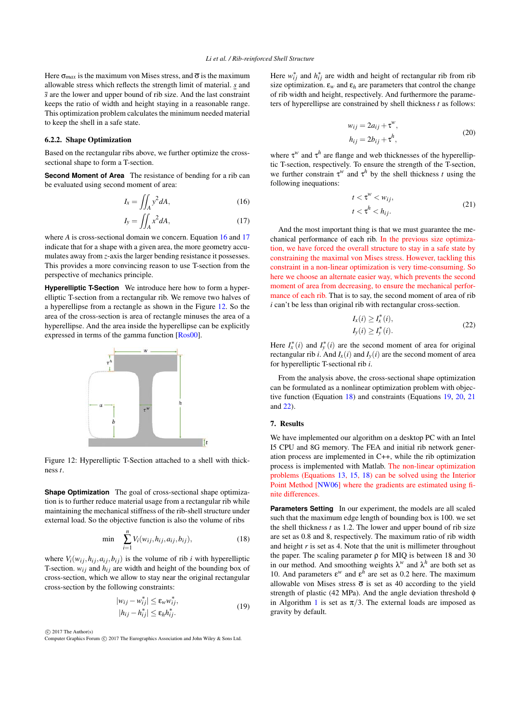<span id="page-8-8"></span>Here  $\sigma_{max}$  is the maximum von Mises stress, and  $\bar{\sigma}$  is the maximum allowable stress which reflects the strength limit of material. *s* and *s* are the lower and upper bound of rib size. And the last constraint keeps the ratio of width and height staying in a reasonable range. This optimization problem calculates the minimum needed material to keep the shell in a safe state.

## 6.2.2. Shape Optimization

Based on the rectangular ribs above, we further optimize the crosssectional shape to form a T-section.

**Second Moment of Area** The resistance of bending for a rib can be evaluated using second moment of area:

$$
I_x = \iint_A y^2 dA,\tag{16}
$$

$$
I_{y} = \iint_{A} x^{2} dA, \qquad (17)
$$

where *A* is cross-sectional domain we concern. Equation [16](#page-8-0) and [17](#page-8-1) indicate that for a shape with a given area, the more geometry accumulates away from *z*-axis the larger bending resistance it possesses. This provides a more convincing reason to use T-section from the perspective of mechanics principle.

**Hyperelliptic T-Section** We introduce here how to form a hyperelliptic T-section from a rectangular rib. We remove two halves of a hyperellipse from a rectangle as shown in the Figure [12.](#page-8-2) So the area of the cross-section is area of rectangle minuses the area of a hyperellipse. And the area inside the hyperellipse can be explicitly expressed in terms of the gamma function [\[Ros00\]](#page-12-34).

<span id="page-8-2"></span>

Figure 12: Hyperelliptic T-Section attached to a shell with thickness *t*.

**Shape Optimization** The goal of cross-sectional shape optimization is to further reduce material usage from a rectangular rib while maintaining the mechanical stiffness of the rib-shell structure under external load. So the objective function is also the volume of ribs

$$
\min \sum_{i=1}^{n} V_i(w_{ij}, h_{ij}, a_{ij}, b_{ij}), \tag{18}
$$

where  $V_i(w_{ij}, h_{ij}, a_{ij}, b_{ij})$  is the volume of rib *i* with hyperelliptic T-section.  $w_{ij}$  and  $h_{ij}$  are width and height of the bounding box of cross-section, which we allow to stay near the original rectangular cross-section by the following constraints:

<span id="page-8-4"></span>
$$
|w_{ij} - w_{ij}^*| \le \varepsilon_w w_{ij}^*,
$$
  
\n
$$
|h_{ij} - h_{ij}^*| \le \varepsilon_h h_{ij}^*.
$$
\n(19)

 $\odot$  2017 The Author(s)

Computer Graphics Forum  $\circled{c}$  2017 The Eurographics Association and John Wiley & Sons Ltd.

<span id="page-8-5"></span>Here  $w_{ij}^*$  and  $h_{ij}^*$  are width and height of rectangular rib from rib size optimization.  $\varepsilon_w$  and  $\varepsilon_h$  are parameters that control the change of rib width and height, respectively. And furthermore the parameters of hyperellipse are constrained by shell thickness *t* as follows:

$$
w_{ij} = 2a_{ij} + \tau^w,
$$
  
\n
$$
h_{ij} = 2b_{ij} + \tau^h,
$$
\n(20)

where  $\tau^w$  and  $\tau^h$  are flange and web thicknesses of the hyperelliptic T-section, respectively. To ensure the strength of the T-section, we further constrain  $\tau^w$  and  $\tau^h$  by the shell thickness *t* using the following inequations:

<span id="page-8-6"></span>
$$
t < \tau^w < w_{ij},
$$
  
\n
$$
t < \tau^h < h_{ij}.
$$
\n(21)

<span id="page-8-1"></span><span id="page-8-0"></span>And the most important thing is that we must guarantee the mechanical performance of each rib. In the previous size optimization, we have forced the overall structure to stay in a safe state by constraining the maximal von Mises stress. However, tackling this constraint in a non-linear optimization is very time-consuming. So here we choose an alternate easier way, which prevents the second moment of area from decreasing, to ensure the mechanical performance of each rib. That is to say, the second moment of area of rib *i* can't be less than original rib with rectangular cross-section.

<span id="page-8-7"></span>
$$
I_x(i) \ge I_x^*(i),
$$
  
\n
$$
I_y(i) \ge I_y^*(i).
$$
\n(22)

Here  $I_x^*(i)$  and  $I_y^*(i)$  are the second moment of area for original rectangular rib *i*. And  $I_x(i)$  and  $I_y(i)$  are the second moment of area for hyperelliptic T-sectional rib *i*.

From the analysis above, the cross-sectional shape optimization can be formulated as a nonlinear optimization problem with objective function (Equation [18\)](#page-8-3) and constraints (Equations [19,](#page-8-4) [20,](#page-8-5) [21](#page-8-6) and [22\)](#page-8-7).

### 7. Results

We have implemented our algorithm on a desktop PC with an Intel I5 CPU and 8G memory. The FEA and initial rib network generation process are implemented in C++, while the rib optimization process is implemented with Matlab. The non-linear optimization problems (Equations [13,](#page-7-2) [15,](#page-7-3) [18\)](#page-8-3) can be solved using the Interior Point Method [\[NW06\]](#page-12-35) where the gradients are estimated using finite differences.

<span id="page-8-3"></span>**Parameters Setting** In our experiment, the models are all scaled such that the maximum edge length of bounding box is 100. we set the shell thickness *t* as 1.2. The lower and upper bound of rib size are set as 0.8 and 8, respectively. The maximum ratio of rib width and height *r* is set as 4. Note that the unit is millimeter throughout the paper. The scaling parameter  $ρ$  for MIQ is between 18 and 30 in our method. And smoothing weights  $\lambda^w$  and  $\lambda^h$  are both set as 10. And parameters  $\varepsilon^w$  and  $\varepsilon^{\overline{h}}$  are set as 0.2 here. The maximum allowable von Mises stress  $\bar{\sigma}$  is set as 40 according to the yield strength of plastic (42 MPa). And the angle deviation threshold  $\phi$ in Algorithm [1](#page-5-1) is set as  $\pi/3$ . The external loads are imposed as gravity by default.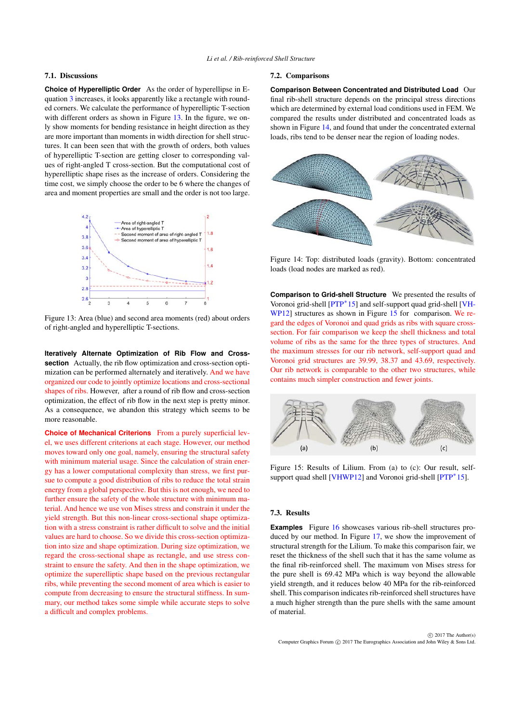# <span id="page-9-3"></span>7.1. Discussions

**Choice of Hyperelliptic Order** As the order of hyperellipse in Equation [3](#page-4-2) increases, it looks apparently like a rectangle with rounded corners. We calculate the performance of hyperelliptic T-section with different orders as shown in Figure [13.](#page-9-0) In the figure, we only show moments for bending resistance in height direction as they are more important than moments in width direction for shell structures. It can been seen that with the growth of orders, both values of hyperelliptic T-section are getting closer to corresponding values of right-angled T cross-section. But the computational cost of hyperelliptic shape rises as the increase of orders. Considering the time cost, we simply choose the order to be 6 where the changes of area and moment properties are small and the order is not too large.

<span id="page-9-0"></span>

Figure 13: Area (blue) and second area moments (red) about orders of right-angled and hyperelliptic T-sections.

**Iteratively Alternate Optimization of Rib Flow and Crosssection** Actually, the rib flow optimization and cross-section optimization can be performed alternately and iteratively. And we have organized our code to jointly optimize locations and cross-sectional shapes of ribs. However, after a round of rib flow and cross-section optimization, the effect of rib flow in the next step is pretty minor. As a consequence, we abandon this strategy which seems to be more reasonable.

**Choice of Mechanical Criterions** From a purely superficial level, we uses different criterions at each stage. However, our method moves toward only one goal, namely, ensuring the structural safety with minimum material usage. Since the calculation of strain energy has a lower computational complexity than stress, we first pursue to compute a good distribution of ribs to reduce the total strain energy from a global perspective. But this is not enough, we need to further ensure the safety of the whole structure with minimum material. And hence we use von Mises stress and constrain it under the yield strength. But this non-linear cross-sectional shape optimization with a stress constraint is rather difficult to solve and the initial values are hard to choose. So we divide this cross-section optimization into size and shape optimization. During size optimization, we regard the cross-sectional shape as rectangle, and use stress constraint to ensure the safety. And then in the shape optimization, we optimize the superelliptic shape based on the previous rectangular ribs, while preventing the second moment of area which is easier to compute from decreasing to ensure the structural stiffness. In summary, our method takes some simple while accurate steps to solve a difficult and complex problems.

#### 7.2. Comparisons

**Comparison Between Concentrated and Distributed Load** Our final rib-shell structure depends on the principal stress directions which are determined by external load conditions used in FEM. We compared the results under distributed and concentrated loads as shown in Figure [14,](#page-9-1) and found that under the concentrated external loads, ribs tend to be denser near the region of loading nodes.

<span id="page-9-1"></span>

Figure 14: Top: distributed loads (gravity). Bottom: concentrated loads (load nodes are marked as red).

**Comparison to Grid-shell Structure** We presented the results of Voronoi grid-shell [\[PTP](#page-12-7)<sup>\*</sup>15] and self-support quad grid-shell [\[VH-](#page-12-36)[WP12\]](#page-12-36) structures as shown in Figure [15](#page-9-2) for comparison. We regard the edges of Voronoi and quad grids as ribs with square crosssection. For fair comparison we keep the shell thickness and total volume of ribs as the same for the three types of structures. And the maximum stresses for our rib network, self-support quad and Voronoi grid structures are 39.99, 38.37 and 43.69, respectively. Our rib network is comparable to the other two structures, while contains much simpler construction and fewer joints.

<span id="page-9-2"></span>

Figure 15: Results of Lilium. From (a) to (c): Our result, self-support quad shell [\[VHWP12\]](#page-12-36) and Voronoi grid-shell [\[PTP](#page-12-7)<sup>\*</sup>15].

# 7.3. Results

**Examples** Figure [16](#page-10-0) showcases various rib-shell structures produced by our method. In Figure [17,](#page-10-1) we show the improvement of structural strength for the Lilium. To make this comparison fair, we reset the thickness of the shell such that it has the same volume as the final rib-reinforced shell. The maximum von Mises stress for the pure shell is 69.42 MPa which is way beyond the allowable yield strength, and it reduces below 40 MPa for the rib-reinforced shell. This comparison indicates rib-reinforced shell structures have a much higher strength than the pure shells with the same amount of material.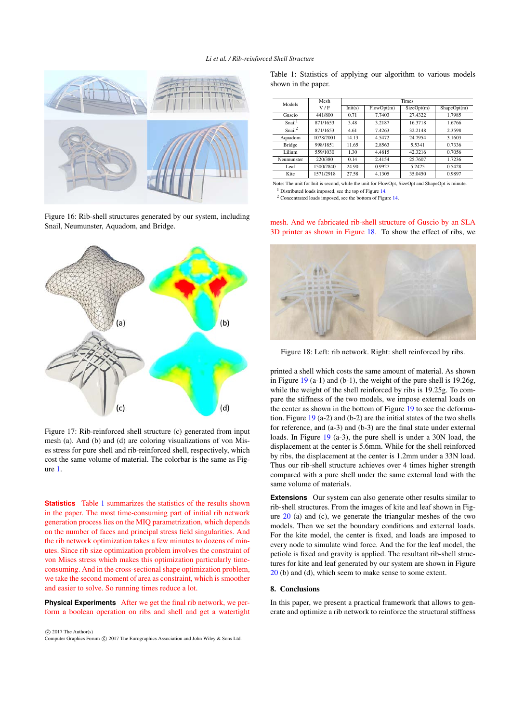<span id="page-10-0"></span>

Figure 16: Rib-shell structures generated by our system, including Snail, Neumunster, Aquadom, and Bridge.

<span id="page-10-1"></span>

Figure 17: Rib-reinforced shell structure (c) generated from input mesh (a). And (b) and (d) are coloring visualizations of von Mises stress for pure shell and rib-reinforced shell, respectively, which cost the same volume of material. The colorbar is the same as Figure [1.](#page-0-0)

**Statistics** Table [1](#page-10-2) summarizes the statistics of the results shown in the paper. The most time-consuming part of initial rib network generation process lies on the MIQ parametrization, which depends on the number of faces and principal stress field singularities. And the rib network optimization takes a few minutes to dozens of minutes. Since rib size optimization problem involves the constraint of von Mises stress which makes this optimization particularly timeconsuming. And in the cross-sectional shape optimization problem, we take the second moment of area as constraint, which is smoother and easier to solve. So running times reduce a lot.

**Physical Experiments** After we get the final rib network, we perform a boolean operation on ribs and shell and get a watertight

 $\circ$  2017 The Author(s) Computer Graphics Forum (C) 2017 The Eurographics Association and John Wiley & Sons Ltd.

<span id="page-10-2"></span>Table 1: Statistics of applying our algorithm to various models shown in the paper.

| Models                         | Mesh      | <b>Times</b>                |                                |            |             |
|--------------------------------|-----------|-----------------------------|--------------------------------|------------|-------------|
|                                | V/F       | $\overline{\text{Init}}(s)$ | $\overline{\text{FlowOpt}}(m)$ | SizeOpt(m) | ShapeOpt(m) |
| Guscio                         | 441/800   | 0.71                        | 7.7403                         | 27.4322    | 1.7985      |
| Snail <sup>1</sup>             | 871/1653  | 3.48                        | 3.2187                         | 16.3718    | 1.6766      |
| S <sub>nail</sub> <sup>2</sup> | 871/1653  | 4.61                        | 7.4263                         | 32.2148    | 2.3598      |
| Aquadom                        | 1078/2001 | 14.13                       | 4.5472                         | 24.7954    | 3.1603      |
| Bridge                         | 998/1851  | 11.65                       | 2.8563                         | 5.5341     | 0.7336      |
| Lilium                         | 559/1030  | 1.30                        | 4.4815                         | 42.3216    | 0.7056      |
| Neumunster                     | 220/380   | 0.14                        | 2.4154                         | 25.7607    | 1.7236      |
| Leaf                           | 1500/2840 | 24.90                       | 0.9927                         | 5.2425     | 0.5428      |
| Kite                           | 1571/2918 | 27.58                       | 4.1305                         | 35.0450    | 0.9897      |

Note: The unit for Init is second, while the unit for FlowOpt, SizeOpt and ShapeOpt is minute. <sup>1</sup> Distributed loads imposed, see the top of Figure [14.](#page-9-1)

<sup>2</sup> Concentrated loads imposed, see the bottom of Figure [14.](#page-9-1)

<span id="page-10-3"></span>mesh. And we fabricated rib-shell structure of Guscio by an SLA 3D printer as shown in Figure [18.](#page-10-3) To show the effect of ribs, we



Figure 18: Left: rib network. Right: shell reinforced by ribs.

printed a shell which costs the same amount of material. As shown in Figure [19](#page-11-0) (a-1) and (b-1), the weight of the pure shell is 19.26g, while the weight of the shell reinforced by ribs is 19.25g. To compare the stiffness of the two models, we impose external loads on the center as shown in the bottom of Figure [19](#page-11-0) to see the deformation. Figure [19](#page-11-0) (a-2) and (b-2) are the initial states of the two shells for reference, and (a-3) and (b-3) are the final state under external loads. In Figure [19](#page-11-0) (a-3), the pure shell is under a 30N load, the displacement at the center is 5.6mm. While for the shell reinforced by ribs, the displacement at the center is 1.2mm under a 33N load. Thus our rib-shell structure achieves over 4 times higher strength compared with a pure shell under the same external load with the same volume of materials.

**Extensions** Our system can also generate other results similar to rib-shell structures. From the images of kite and leaf shown in Figure [20](#page-11-10) (a) and (c), we generate the triangular meshes of the two models. Then we set the boundary conditions and external loads. For the kite model, the center is fixed, and loads are imposed to every node to simulate wind force. And the for the leaf model, the petiole is fixed and gravity is applied. The resultant rib-shell structures for kite and leaf generated by our system are shown in Figure [20](#page-11-10) (b) and (d), which seem to make sense to some extent.

## 8. Conclusions

In this paper, we present a practical framework that allows to generate and optimize a rib network to reinforce the structural stiffness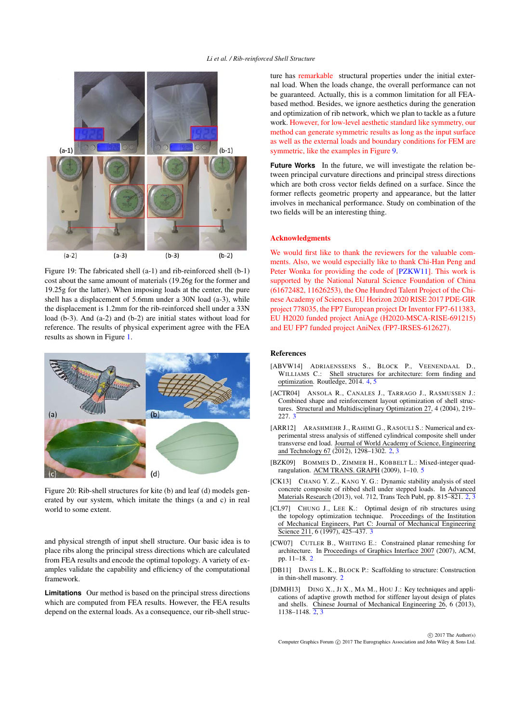#### *Li et al. / Rib-reinforced Shell Structure*

<span id="page-11-11"></span><span id="page-11-0"></span>

Figure 19: The fabricated shell (a-1) and rib-reinforced shell (b-1) cost about the same amount of materials (19.26g for the former and 19.25g for the latter). When imposing loads at the center, the pure shell has a displacement of 5.6mm under a 30N load (a-3), while the displacement is 1.2mm for the rib-reinforced shell under a 33N load (b-3). And (a-2) and (b-2) are initial states without load for reference. The results of physical experiment agree with the FEA results as shown in Figure [1.](#page-0-0)

<span id="page-11-10"></span>

Figure 20: Rib-shell structures for kite (b) and leaf (d) models generated by our system, which imitate the things (a and c) in real world to some extent.

and physical strength of input shell structure. Our basic idea is to place ribs along the principal stress directions which are calculated from FEA results and encode the optimal topology. A variety of examples validate the capability and efficiency of the computational framework.

**Limitations** Our method is based on the principal stress directions which are computed from FEA results. However, the FEA results depend on the external loads. As a consequence, our rib-shell structure has remarkable structural properties under the initial external load. When the loads change, the overall performance can not be guaranteed. Actually, this is a common limitation for all FEAbased method. Besides, we ignore aesthetics during the generation and optimization of rib network, which we plan to tackle as a future work. However, for low-level aesthetic standard like symmetry, our method can generate symmetric results as long as the input surface as well as the external loads and boundary conditions for FEM are symmetric, like the examples in Figure [9.](#page-6-1)

**Future Works** In the future, we will investigate the relation between principal curvature directions and principal stress directions which are both cross vector fields defined on a surface. Since the former reflects geometric property and appearance, but the latter involves in mechanical performance. Study on combination of the two fields will be an interesting thing.

# Acknowledgments

We would first like to thank the reviewers for the valuable comments. Also, we would especially like to thank Chi-Han Peng and Peter Wonka for providing the code of [\[PZKW11\]](#page-12-33). This work is supported by the National Natural Science Foundation of China (61672482, 11626253), the One Hundred Talent Project of the Chinese Academy of Sciences, EU Horizon 2020 RISE 2017 PDE-GIR project 778035, the FP7 European project Dr Inventor FP7-611383, EU H2020 funded project AniAge (H2020-MSCA-RISE-691215) and EU FP7 funded project AniNex (FP7-IRSES-612627).

### References

- <span id="page-11-8"></span>[ABVW14] ADRIAENSSENS S., BLOCK P., VEENENDAAL D., WILLIAMS C.: Shell structures for architecture: form finding and optimization. Routledge, 2014. [4,](#page-3-3) [5](#page-4-3)
- <span id="page-11-6"></span>[ACTR04] ANSOLA R., CANALES J., TARRAGO J., RASMUSSEN J.: Combined shape and reinforcement layout optimization of shell structures. Structural and Multidisciplinary Optimization 27, 4 (2004), 219– 227. [3](#page-2-0)
- <span id="page-11-2"></span>[ARR12] ARASHMEHR J., RAHIMI G., RASOULI S.: Numerical and experimental stress analysis of stiffened cylindrical composite shell under transverse end load. Journal of World Academy of Science, Engineering and Technology 67 (2012), 1298–1302. [2,](#page-1-1) [3](#page-2-0)
- <span id="page-11-9"></span>[BZK09] BOMMES D., ZIMMER H., KOBBELT L.: Mixed-integer quadrangulation. ACM TRANS. GRAPH (2009), 1–10. [5](#page-4-3)
- <span id="page-11-3"></span>[CK13] CHANG Y. Z., KANG Y. G.: Dynamic stability analysis of steel concrete composite of ribbed shell under stepped loads. In Advanced Materials Research (2013), vol. 712, Trans Tech Publ, pp. 815–821. [2,](#page-1-1) [3](#page-2-0)
- <span id="page-11-7"></span>[CL97] CHUNG J., LEE K.: Optimal design of rib structures using the topology optimization technique. Proceedings of the Institution of Mechanical Engineers, Part C: Journal of Mechanical Engineering Science 211, 6 (1997), 425–4[3](#page-2-0)7. 3
- <span id="page-11-5"></span>[CW07] CUTLER B., WHITING E.: Constrained planar remeshing for architecture. In Proceedings of Graphics Interface 2007 (2007), ACM, pp. 11–18. [2](#page-1-1)
- <span id="page-11-1"></span>[DB11] DAVIS L. K., BLOCK P.: Scaffolding to structure: Construction in thin-shell masonry. [2](#page-1-1)
- <span id="page-11-4"></span>[DJMH13] DING X., JI X., MA M., HOU J.: Key techniques and applications of adaptive growth method for stiffener layout design of plates and shells. Chinese Journal of Mechanical Engineering 26, 6 (2013), 1138–1148. [2,](#page-1-1) [3](#page-2-0)

 $\circ$  2017 The Author(s) Computer Graphics Forum (C) 2017 The Eurographics Association and John Wiley & Sons Ltd.